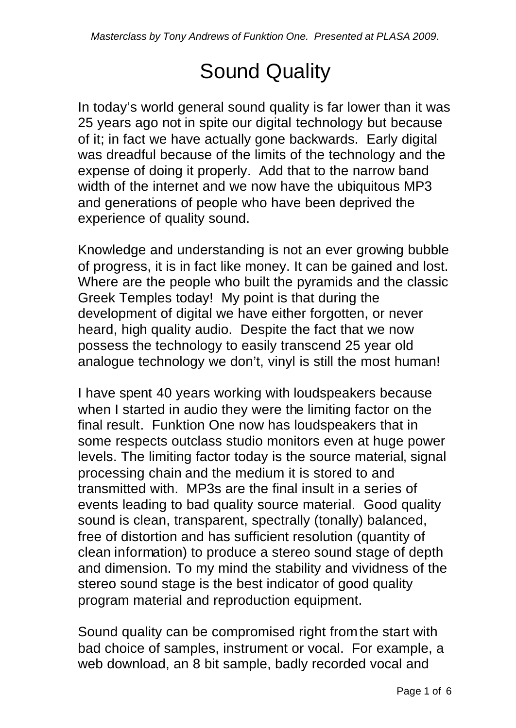## Sound Quality

In today's world general sound quality is far lower than it was 25 years ago not in spite our digital technology but because of it; in fact we have actually gone backwards. Early digital was dreadful because of the limits of the technology and the expense of doing it properly. Add that to the narrow band width of the internet and we now have the ubiquitous MP3 and generations of people who have been deprived the experience of quality sound.

Knowledge and understanding is not an ever growing bubble of progress, it is in fact like money. It can be gained and lost. Where are the people who built the pyramids and the classic Greek Temples today! My point is that during the development of digital we have either forgotten, or never heard, high quality audio. Despite the fact that we now possess the technology to easily transcend 25 year old analogue technology we don't, vinyl is still the most human!

I have spent 40 years working with loudspeakers because when I started in audio they were the limiting factor on the final result. Funktion One now has loudspeakers that in some respects outclass studio monitors even at huge power levels. The limiting factor today is the source material, signal processing chain and the medium it is stored to and transmitted with. MP3s are the final insult in a series of events leading to bad quality source material. Good quality sound is clean, transparent, spectrally (tonally) balanced, free of distortion and has sufficient resolution (quantity of clean information) to produce a stereo sound stage of depth and dimension. To my mind the stability and vividness of the stereo sound stage is the best indicator of good quality program material and reproduction equipment.

Sound quality can be compromised right from the start with bad choice of samples, instrument or vocal. For example, a web download, an 8 bit sample, badly recorded vocal and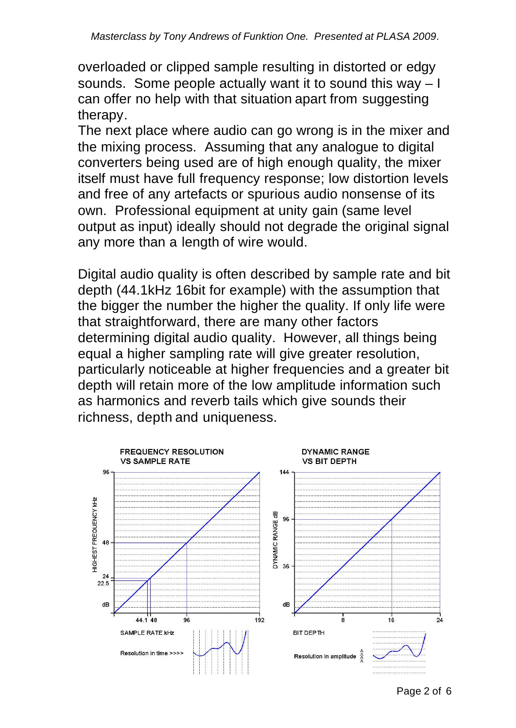overloaded or clipped sample resulting in distorted or edgy sounds. Some people actually want it to sound this way – I can offer no help with that situation apart from suggesting therapy.

The next place where audio can go wrong is in the mixer and the mixing process. Assuming that any analogue to digital converters being used are of high enough quality, the mixer itself must have full frequency response; low distortion levels and free of any artefacts or spurious audio nonsense of its own. Professional equipment at unity gain (same level output as input) ideally should not degrade the original signal any more than a length of wire would.

Digital audio quality is often described by sample rate and bit depth (44.1kHz 16bit for example) with the assumption that the bigger the number the higher the quality. If only life were that straightforward, there are many other factors determining digital audio quality. However, all things being equal a higher sampling rate will give greater resolution, particularly noticeable at higher frequencies and a greater bit depth will retain more of the low amplitude information such as harmonics and reverb tails which give sounds their richness, depth and uniqueness.

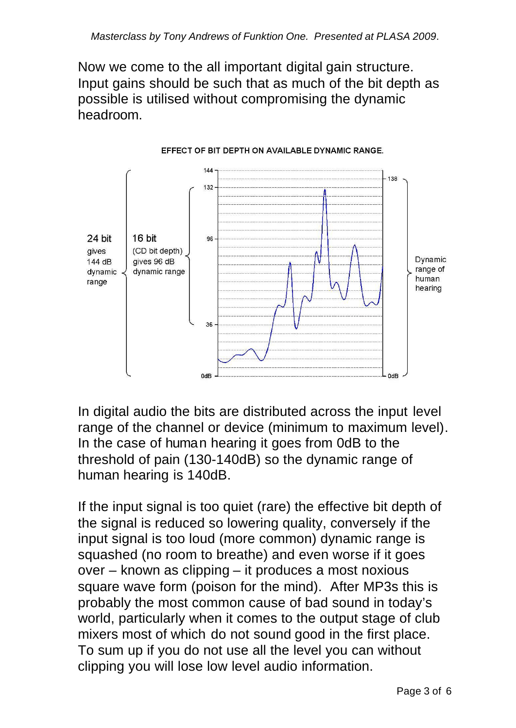Now we come to the all important digital gain structure. Input gains should be such that as much of the bit depth as possible is utilised without compromising the dynamic headroom.



EFFECT OF BIT DEPTH ON AVAILABLE DYNAMIC RANGE.

In digital audio the bits are distributed across the input level range of the channel or device (minimum to maximum level). In the case of human hearing it goes from 0dB to the threshold of pain (130-140dB) so the dynamic range of human hearing is 140dB.

If the input signal is too quiet (rare) the effective bit depth of the signal is reduced so lowering quality, conversely if the input signal is too loud (more common) dynamic range is squashed (no room to breathe) and even worse if it goes over – known as clipping – it produces a most noxious square wave form (poison for the mind). After MP3s this is probably the most common cause of bad sound in today's world, particularly when it comes to the output stage of club mixers most of which do not sound good in the first place. To sum up if you do not use all the level you can without clipping you will lose low level audio information.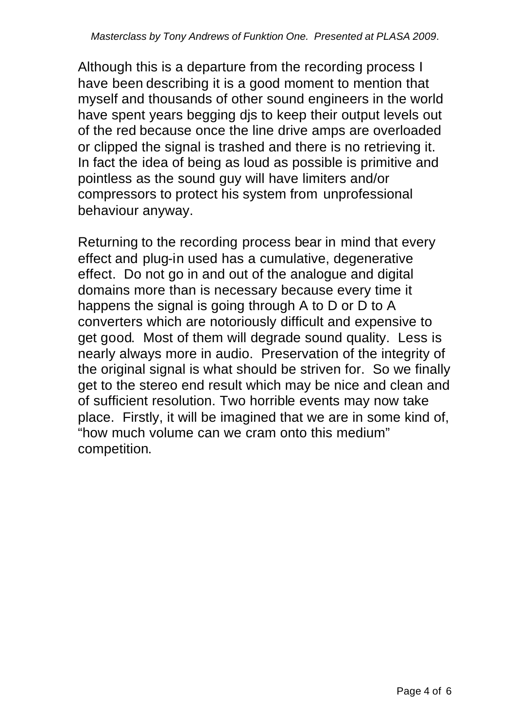Although this is a departure from the recording process I have been describing it is a good moment to mention that myself and thousands of other sound engineers in the world have spent years begging djs to keep their output levels out of the red because once the line drive amps are overloaded or clipped the signal is trashed and there is no retrieving it. In fact the idea of being as loud as possible is primitive and pointless as the sound guy will have limiters and/or compressors to protect his system from unprofessional behaviour anyway.

Returning to the recording process bear in mind that every effect and plug-in used has a cumulative, degenerative effect. Do not go in and out of the analogue and digital domains more than is necessary because every time it happens the signal is going through A to D or D to A converters which are notoriously difficult and expensive to get good. Most of them will degrade sound quality. Less is nearly always more in audio. Preservation of the integrity of the original signal is what should be striven for. So we finally get to the stereo end result which may be nice and clean and of sufficient resolution. Two horrible events may now take place. Firstly, it will be imagined that we are in some kind of, "how much volume can we cram onto this medium" competition.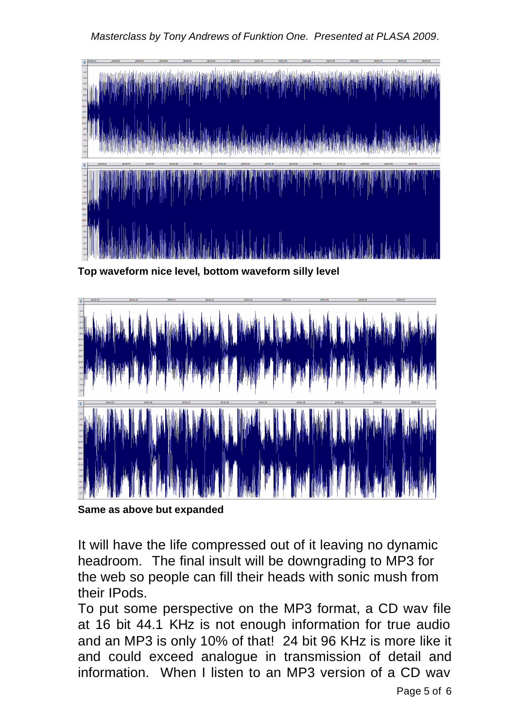## *Masterclass by Tony Andrews of Funktion One. Presented at PLASA 2009*.



**Top waveform nice level, bottom waveform silly level**



**Same as above but expanded**

It will have the life compressed out of it leaving no dynamic headroom. The final insult will be downgrading to MP3 for the web so people can fill their heads with sonic mush from their IPods.

To put some perspective on the MP3 format, a CD wav file at 16 bit 44.1 KHz is not enough information for true audio and an MP3 is only 10% of that! 24 bit 96 KHz is more like it and could exceed analogue in transmission of detail and information. When I listen to an MP3 version of a CD wav